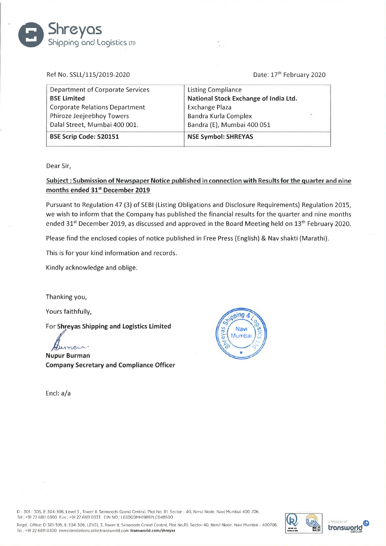## Shipping and Logistics LTD

Ref No. SSLL/115/2019-2020 Date: 17<sup>th</sup> February 2020

| <b>Department of Corporate Services</b> | <b>Listing Compliance</b>             |  |
|-----------------------------------------|---------------------------------------|--|
| <b>BSE Limited</b>                      | National Stock Exchange of India Ltd. |  |
| <b>Corporate Relations Department</b>   | <b>Exchange Plaza</b>                 |  |
| Phiroze Jeejeebhoy Towers               | Bandra Kurla Complex                  |  |
| Dalal Street, Mumbai 400 001.           | Bandra (E), Mumbai 400 051            |  |
| BSE Scrip Code: 520151                  | <b>NSE Symbol: SHREYAS</b>            |  |

Dear Sir,

Subject: Submission of Newspaper Notice published in connection with Results for the quarter and nine months ended 31<sup>st</sup> December 2019

Pursuant to Regulation 47 (3) of SEBI (Listing Obligations and Disclosure Requirements) Regulation 2015, we wish to inform that the Company has published the financial results for the quarter and nine months ended 31<sup>st</sup> December 2019, as discussed and approved in the Board Meeting held on 13<sup>th</sup> February 2020.

Please find the enclosed copies of notice published in Free Press (English) & Nav shakti (Marathi).

This is for your kind information and records.

Kindly acknowledge and oblige.

Thanking you,

Yours faithfully,

For Shreyas Shipping and Logistics Limited<br> $\oint_{\mathcal{U}}$ 

Nupur Burman Company Secretary and Compliance Officer

Encl: a/a



0 - 301 - 305, E-304-306. Level 3. Tower II. Seawoods Grand Central, Plot No RI. Sector - 40. Nerul Node. Navi Mumbai 400 706 Tel: +91 22 6811 0300 Fax: +91 22 6811 0333 CIN NO: L63000MH1988PLC048500

Rcgd Office: D-301-305. E-304-306. LEVEL 3. Tower II. Seawoods Grand Central, Plot No.Rl. Scctor-40 Nerul Node. Navi Mumbai - 400706 Tel: +91 22 6811 0300 investorrelations sslkotransworld com transworld.com/shreyas



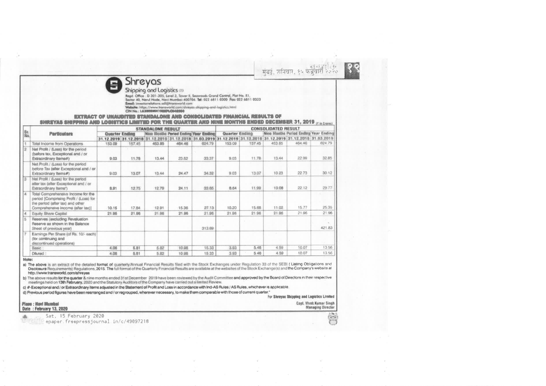明略 मंबर्ड, शनिवार, १५ फेब्रुवेरि २०२०



## Shipping and Logistics on

Read. Office : D 301-305, Level 3, Tawer II, Seawoods Grand Control, Plot No. R1, Sector 40, Nerul Node, Novi Mumbol-400706. Tel: 022 6811 0300 Pag 022 6811 0333

Email: investomelations ssli@transworld.com

Website: https://www.transworld.com/shreyas-shipping-and-logistics.html

CIN No.: L63000MH1988PLC048390

EXTRACT OF UNAUDITED STANDALONE AND CONSOLIDATED FINANCIAL RESULTS OF SHREYAS SHIPPING AND LOGISTICS LIMITED FOR THE QUARTER AND MINE MONTHS ENDED DECEMBER 31, 2019 (Ein Crown) **CONSOLIDATED RESULT STANDALONE RESULT BE** Nine Months Period Ending Year Ending **Particulars** Quarter Ending Nine Months Period Ending Year Ending **Quarter Ending** 31.12.2019 31.12.2018 31.12.2019 31.12.2018 31.03.2019 31.12.2019 31.12.2018 31.12.2019 31.12.2018 31.03.2019 453.85 464.46 62479 464.46 624.79 157.45 153.09 157.45 453.85 153.09 Total Income from Operations 12 Net Profit / (Loss) for the period (before tax, Exceptional and / or 9.03 11.78 13.44 29.82 33.37 9.03 11.78 13.44 22.99 32.85 **Extraordinary Items#)** Net Profit / (Loss) for the period before Tax talter Exceptional and / or  $2273$  $30.12$  $24,47$ 9.03 13.07 10.23 Extraordinary Items#) 9.03 13.07 13,44 34.32 Net Profit / (Loss) for the period aller tax (after Exceptional and / or 8.91 8.84 11.99 10.08  $22.12$ 29.77 12.75 12.79  $24.11$ 33.65 Extraordinary herns") Total Comprehensive Income for the period [Comprising Profit / (Loss) for the period (after tax) and other 10.15 27.13 10.20 15.88 11.02 15.77 25 35 Comprehensive income (after tax)] 17.84 12.91 15.36

21.96

10,51

10.98

21.96

313.69

15.33

18.33

21.96

3.93

3.93

## Diluted Note:

**Basic** 

I S.

a) The above is an extract of the detailed format of quarterly/Annual Financial Results filed with the Stock Exchanges under Requlation 33 of the SEBI (Listing Obligations and the detailed format of the Quarterly Financial http://www.transworld.com/shreyas

b) The above results for the quarter & nine months ended 31st December 2019 have been reviewed by the Audit Committee and approved by the Board of Directors in their respective meetings held on 13th February, 2020 and the Statutory Auditors of the Company have carried out a limited Review.

c) #-Exceptional and / or Extraordinary items adjusted in the Statement of Profit and Loss in accordance with Ind-AS Rules / AS Rules, whichever is applicable.

21.96

5.82

 $5.82$ 

d) Previous period figures have been rearranged and / or regrouped, wherever necessary, to make them comparable with those of current quarter."

21.96

5.81

5.81

21.96

4.08

4.08

For Shrayas Shipping and Logistics Limited

2196

10.07

10.07

21.96

421.83

13.56

13.56

21.96

4.59

4.59

21.96

5.46

5.46

Place : Novi Mumbai Date: February 13, 2020

4 Equity Share Capital

Sheet of previous year)

(for continuing and discontinued operations)

Reserves (excluding Revaluation

Reserve as shown in the Balance

Earnings Per Share (of Rs. 10/- each)

Capt. Vivok Kumar Singh **Managing Director** 

Sat, 15 February 2020 The Figue epaper freepressiournal in/c/49097218

 $\left( \frac{1}{2} \right)$ O